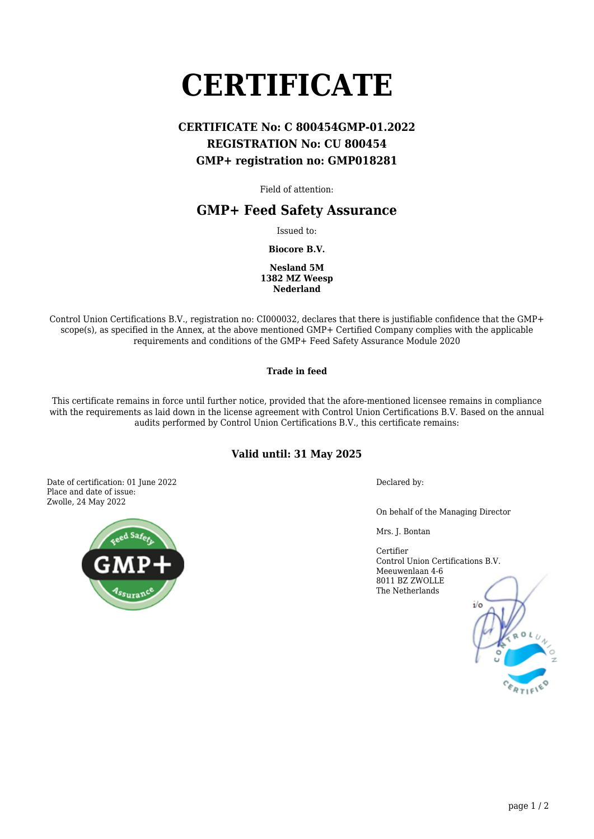# **CERTIFICATE**

## **CERTIFICATE No: C 800454GMP-01.2022 REGISTRATION No: CU 800454 GMP+ registration no: GMP018281**

Field of attention:

## **GMP+ Feed Safety Assurance**

Issued to:

**Biocore B.V.**

**Nesland 5M 1382 MZ Weesp Nederland**

Control Union Certifications B.V., registration no: CI000032, declares that there is justifiable confidence that the GMP+ scope(s), as specified in the Annex, at the above mentioned GMP+ Certified Company complies with the applicable requirements and conditions of the GMP+ Feed Safety Assurance Module 2020

#### **Trade in feed**

This certificate remains in force until further notice, provided that the afore-mentioned licensee remains in compliance with the requirements as laid down in the license agreement with Control Union Certifications B.V. Based on the annual audits performed by Control Union Certifications B.V., this certificate remains:

### **Valid until: 31 May 2025**

Date of certification: 01 June 2022 Place and date of issue: Zwolle, 24 May 2022



Declared by:

On behalf of the Managing Director

Mrs. J. Bontan

Certifier Control Union Certifications B.V. Meeuwenlaan 4-6 8011 BZ ZWOLLE The Netherlands